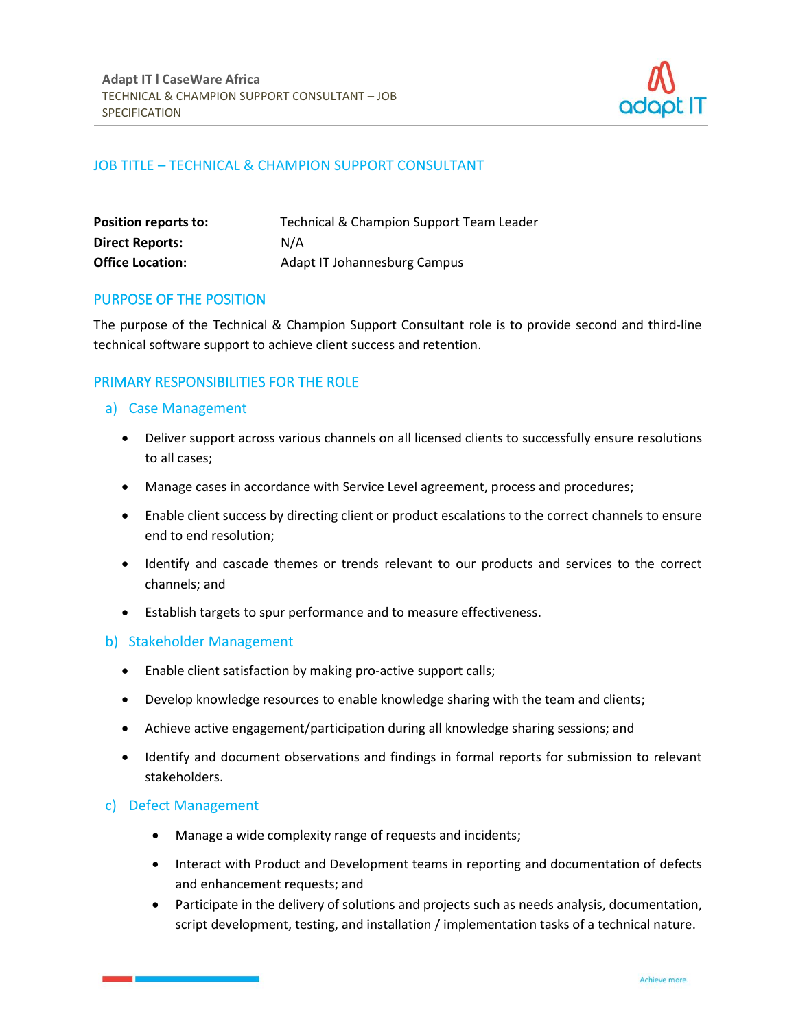

# JOB TITLE – TECHNICAL & CHAMPION SUPPORT CONSULTANT

| <b>Position reports to:</b> | Technical & Champion Support Team Leader |
|-----------------------------|------------------------------------------|
| <b>Direct Reports:</b>      | N/A                                      |
| <b>Office Location:</b>     | Adapt IT Johannesburg Campus             |

### PURPOSE OF THE POSITION

The purpose of the Technical & Champion Support Consultant role is to provide second and third-line technical software support to achieve client success and retention.

# PRIMARY RESPONSIBILITIES FOR THE ROLE

### a) Case Management

- Deliver support across various channels on all licensed clients to successfully ensure resolutions to all cases;
- Manage cases in accordance with Service Level agreement, process and procedures;
- Enable client success by directing client or product escalations to the correct channels to ensure end to end resolution;
- Identify and cascade themes or trends relevant to our products and services to the correct channels; and
- Establish targets to spur performance and to measure effectiveness.

#### b) Stakeholder Management

- Enable client satisfaction by making pro-active support calls;
- Develop knowledge resources to enable knowledge sharing with the team and clients;
- Achieve active engagement/participation during all knowledge sharing sessions; and
- Identify and document observations and findings in formal reports for submission to relevant stakeholders.

### c) Defect Management

- Manage a wide complexity range of requests and incidents;
- Interact with Product and Development teams in reporting and documentation of defects and enhancement requests; and
- Participate in the delivery of solutions and projects such as needs analysis, documentation, script development, testing, and installation / implementation tasks of a technical nature.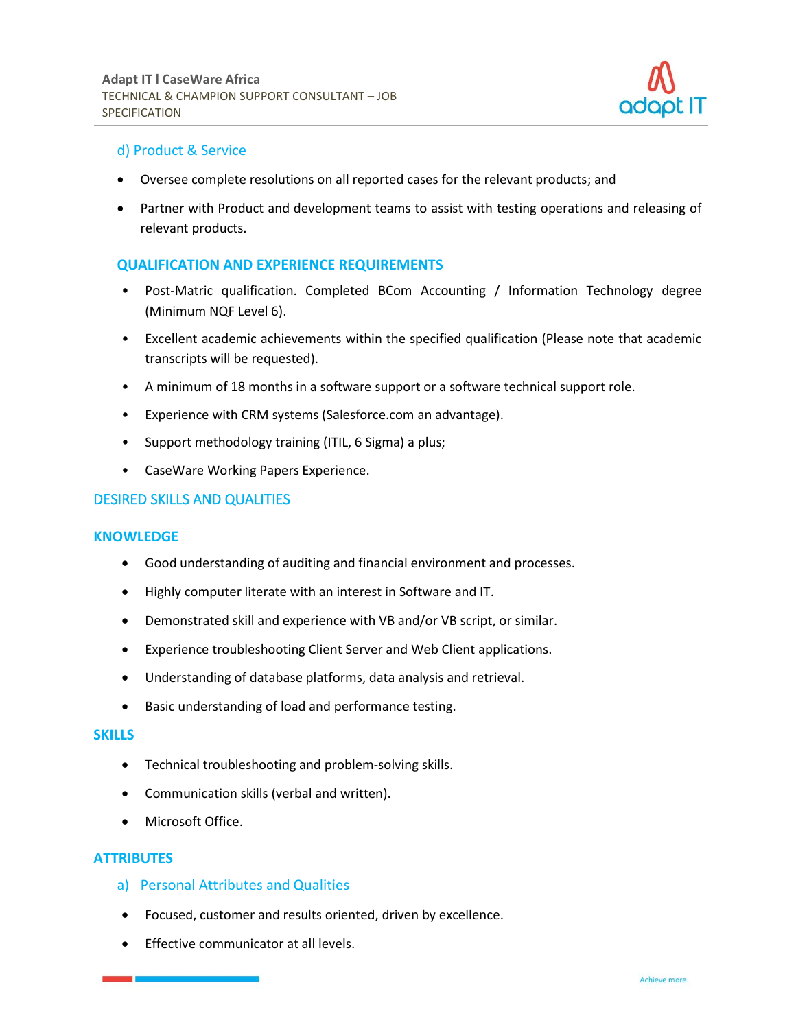

# d) Product & Service

- Oversee complete resolutions on all reported cases for the relevant products; and
- Partner with Product and development teams to assist with testing operations and releasing of relevant products.

# **QUALIFICATION AND EXPERIENCE REQUIREMENTS**

- Post-Matric qualification. Completed BCom Accounting / Information Technology degree (Minimum NQF Level 6).
- Excellent academic achievements within the specified qualification (Please note that academic transcripts will be requested).
- A minimum of 18 months in a software support or a software technical support role.
- Experience with CRM systems (Salesforce.com an advantage).
- Support methodology training (ITIL, 6 Sigma) a plus;
- CaseWare Working Papers Experience.

### DESIRED SKILLS AND QUALITIES

#### **KNOWLEDGE**

- Good understanding of auditing and financial environment and processes.
- Highly computer literate with an interest in Software and IT.
- Demonstrated skill and experience with VB and/or VB script, or similar.
- Experience troubleshooting Client Server and Web Client applications.
- Understanding of database platforms, data analysis and retrieval.
- Basic understanding of load and performance testing.

#### **SKILLS**

- Technical troubleshooting and problem-solving skills.
- Communication skills (verbal and written).
- Microsoft Office.

### **ATTRIBUTES**

- a) Personal Attributes and Qualities
- Focused, customer and results oriented, driven by excellence.
- Effective communicator at all levels.